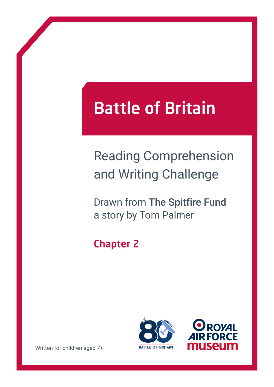# Battle of Britain

## Reading Comprehension and Writing Challenge

Drawn from The Spitfire Fund a story by Tom Palmer

### Chapter 2





Written for children aged 7+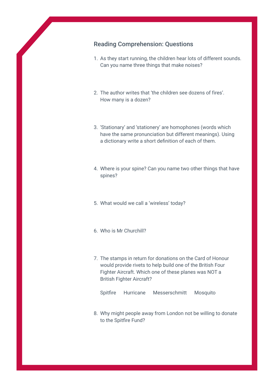#### Reading Comprehension: Questions

- 1. As they start running, the children hear lots of different sounds. Can you name three things that make noises?
- 2. The author writes that 'the children see dozens of fires'. How many is a dozen?
- 3. 'Stationary' and 'stationery' are homophones (words which have the same pronunciation but different meanings). Using a dictionary write a short definition of each of them.
- 4. Where is your spine? Can you name two other things that have spines?
- 5. What would we call a 'wireless' today?
- 6. Who is Mr Churchill?
- 7. The stamps in return for donations on the Card of Honour would provide rivets to help build one of the British Four Fighter Aircraft. Which one of these planes was NOT a British Fighter Aircraft?
	- Spitfire Hurricane Messerschmitt Mosquito
- 8. Why might people away from London not be willing to donate to the Spitfire Fund?